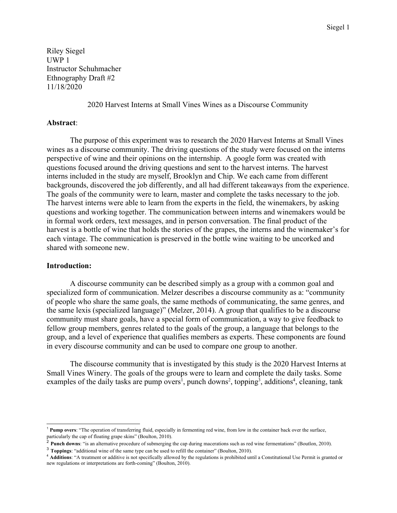Riley Siegel UWP 1 Instructor Schuhmacher Ethnography Draft #2 11/18/2020

2020 Harvest Interns at Small Vines Wines as a Discourse Community

### **Abstract**:

The purpose of this experiment was to research the 2020 Harvest Interns at Small Vines wines as a discourse community. The driving questions of the study were focused on the interns perspective of wine and their opinions on the internship. A google form was created with questions focused around the driving questions and sent to the harvest interns. The harvest interns included in the study are myself, Brooklyn and Chip. We each came from different backgrounds, discovered the job differently, and all had different takeaways from the experience. The goals of the community were to learn, master and complete the tasks necessary to the job. The harvest interns were able to learn from the experts in the field, the winemakers, by asking questions and working together. The communication between interns and winemakers would be in formal work orders, text messages, and in person conversation. The final product of the harvest is a bottle of wine that holds the stories of the grapes, the interns and the winemaker's for each vintage. The communication is preserved in the bottle wine waiting to be uncorked and shared with someone new.

### **Introduction:**

A discourse community can be described simply as a group with a common goal and specialized form of communication. Melzer describes a discourse community as a: "community of people who share the same goals, the same methods of communicating, the same genres, and the same lexis (specialized language)" (Melzer, 2014). A group that qualifies to be a discourse community must share goals, have a special form of communication, a way to give feedback to fellow group members, genres related to the goals of the group, a language that belongs to the group, and a level of experience that qualifies members as experts. These components are found in every discourse community and can be used to compare one group to another.

The discourse community that is investigated by this study is the 2020 Harvest Interns at Small Vines Winery. The goals of the groups were to learn and complete the daily tasks. Some examples of the daily tasks are pump overs<sup>1</sup>, punch downs<sup>2</sup>, topping<sup>3</sup>, additions<sup>4</sup>, cleaning, tank

<sup>1</sup> **Pump overs**: "The operation of transferring fluid, especially in fermenting red wine, from low in the container back over the surface, particularly the cap of floating grape skins" (Boulton, 2010).

<sup>&</sup>lt;sup>2</sup> **Punch downs**: "is an alternative procedure of submerging the cap during macerations such as red wine fermentations" (Boutlon, 2010).

<sup>3</sup> **Toppings**: "additional wine of the same type can be used to refill the container" (Boulton, 2010).

<sup>4</sup> **Additions**: "A treatment or additive is not specifically allowed by the regulations is prohibited until a Constitutional Use Permit is granted or new regulations or interpretations are forth-coming" (Boulton, 2010).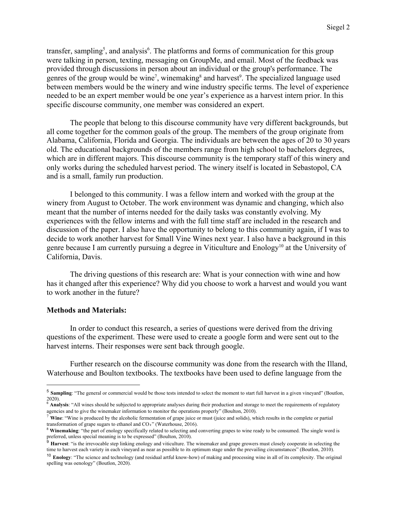transfer, sampling<sup>5</sup>, and analysis<sup>6</sup>. The platforms and forms of communication for this group were talking in person, texting, messaging on GroupMe, and email. Most of the feedback was provided through discussions in person about an individual or the group's performance. The genres of the group would be wine<sup>7</sup>, winemaking<sup>8</sup> and harvest<sup>9</sup>. The specialized language used between members would be the winery and wine industry specific terms. The level of experience needed to be an expert member would be one year's experience as a harvest intern prior. In this specific discourse community, one member was considered an expert.

The people that belong to this discourse community have very different backgrounds, but all come together for the common goals of the group. The members of the group originate from Alabama, California, Florida and Georgia. The individuals are between the ages of 20 to 30 years old. The educational backgrounds of the members range from high school to bachelors degrees, which are in different majors. This discourse community is the temporary staff of this winery and only works during the scheduled harvest period. The winery itself is located in Sebastopol, CA and is a small, family run production.

I belonged to this community. I was a fellow intern and worked with the group at the winery from August to October. The work environment was dynamic and changing, which also meant that the number of interns needed for the daily tasks was constantly evolving. My experiences with the fellow interns and with the full time staff are included in the research and discussion of the paper. I also have the opportunity to belong to this community again, if I was to decide to work another harvest for Small Vine Wines next year. I also have a background in this genre because I am currently pursuing a degree in Viticulture and Enology<sup>10</sup> at the University of California, Davis.

The driving questions of this research are: What is your connection with wine and how has it changed after this experience? Why did you choose to work a harvest and would you want to work another in the future?

## **Methods and Materials:**

In order to conduct this research, a series of questions were derived from the driving questions of the experiment. These were used to create a google form and were sent out to the harvest interns. Their responses were sent back through google.

Further research on the discourse community was done from the research with the Illand, Waterhouse and Boulton textbooks. The textbooks have been used to define language from the

<sup>&</sup>lt;sup>5</sup> Sampling: "The general or commercial would be those tests intended to select the moment to start full harvest in a given vineyard" (Boutlon, 2020).

<sup>&</sup>lt;sup>6</sup> Analysis: "All wines should be subjected to appropriate analyses during their production and storage to meet the requirements of regulatory agencies and to give the winemaker information to monitor the operations properly" (Boulton, 2010).

<sup>7</sup> **Wine**: "Wine is produced by the alcoholic fermentation of grape juice or must (juice and solids), which results in the complete or partial transformation of grape sugars to ethanol and  $CO<sub>2</sub>$ " (Waterhouse, 2016).

<sup>&</sup>lt;sup>8</sup> Winemaking: "the part of enology specifically related to selecting and converting grapes to wine ready to be consumed. The single word is preferred, unless special meaning is to be expressed" (Boulton, 2010).

<sup>&</sup>lt;sup>9</sup> Harvest: "is the irrevocable step linking enology and viticulture. The winemaker and grape growers must closely cooperate in selecting the time to harvest each variety in each vineyard as near as possible to its optimum stage under the prevailing circumstances" (Boutlon, 2010).

<sup>10</sup> **Enology**: "The science and technology (and residual artful know-how) of making and processing wine in all of its complexity. The original spelling was oenology" (Boutlon, 2020).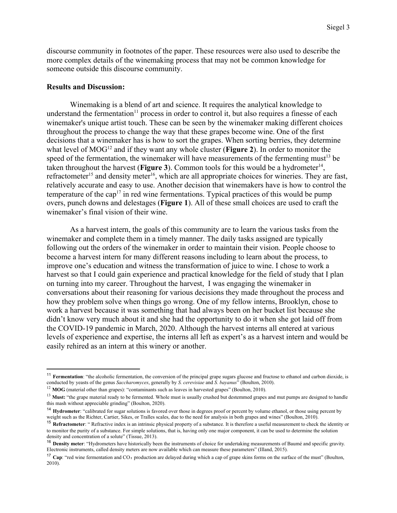discourse community in footnotes of the paper. These resources were also used to describe the more complex details of the winemaking process that may not be common knowledge for someone outside this discourse community.

#### **Results and Discussion:**

Winemaking is a blend of art and science. It requires the analytical knowledge to understand the fermentation<sup>11</sup> process in order to control it, but also requires a finesse of each winemaker's unique artist touch. These can be seen by the winemaker making different choices throughout the process to change the way that these grapes become wine. One of the first decisions that a winemaker has is how to sort the grapes. When sorting berries, they determine what level of MOG<sup>12</sup> and if they want any whole cluster (**Figure 2**). In order to monitor the speed of the fermentation, the winemaker will have measurements of the fermenting must<sup>13</sup> be taken throughout the harvest (**Figure 3**). Common tools for this would be a hydrometer<sup>14</sup>, refractometer<sup>15</sup> and density meter<sup>16</sup>, which are all appropriate choices for wineries. They are fast, relatively accurate and easy to use. Another decision that winemakers have is how to control the temperature of the cap<sup>17</sup> in red wine fermentations. Typical practices of this would be pump overs, punch downs and delestages (**Figure 1**). All of these small choices are used to craft the winemaker's final vision of their wine.

As a harvest intern, the goals of this community are to learn the various tasks from the winemaker and complete them in a timely manner. The daily tasks assigned are typically following out the orders of the winemaker in order to maintain their vision. People choose to become a harvest intern for many different reasons including to learn about the process, to improve one's education and witness the transformation of juice to wine. I chose to work a harvest so that I could gain experience and practical knowledge for the field of study that I plan on turning into my career. Throughout the harvest, I was engaging the winemaker in conversations about their reasoning for various decisions they made throughout the process and how they problem solve when things go wrong. One of my fellow interns, Brooklyn, chose to work a harvest because it was something that had always been on her bucket list because she didn't know very much about it and she had the opportunity to do it when she got laid off from the COVID-19 pandemic in March, 2020. Although the harvest interns all entered at various levels of experience and expertise, the interns all left as expert's as a harvest intern and would be easily rehired as an intern at this winery or another.

<sup>&</sup>lt;sup>11</sup> **Fermentation**: "the alcoholic fermentation, the conversion of the principal grape sugars glucose and fructose to ethanol and carbon dioxide, is conducted by yeasts of the genus *Saccharomyces*, generally by *S. cerevisiae* and *S. bayanus*" (Boulton, 2010).

<sup>&</sup>lt;sup>12</sup> MOG (material other than grapes): "contaminants such as leaves in harvested grapes" (Boulton, 2010).

<sup>&</sup>lt;sup>13</sup> Must: "the grape material ready to be fermented. Whole must is usually crushed but destemmed grapes and mut pumps are designed to handle this mash without appreciable grinding" (Boulton, 2020).

<sup>&</sup>lt;sup>14</sup> Hydrometer: "calibrated for sugar solutions is favored over those in degrees proof or percent by volume ethanol, or those using percent by weight such as the Richter, Cartier, Sikes, or Tralles scales, due to the need for analysis in both grapes and wines" (Boulton, 2010).

<sup>&</sup>lt;sup>15</sup> **Refractometer**: "Refractive index is an intrinsic physical property of a substance. It is therefore a useful measurement to check the identity or to monitor the purity of a substance. For simple solutions, that is, having only one major component, it can be used to determine the solution density and concentration of a solute" (Tissue, 2013).

<sup>16</sup> **Density meter**: "Hydrometers have historically been the instruments of choice for undertaking measurements of Baumé and specific gravity. Electronic instruments, called density meters are now available which can measure these parameters" (Illand, 2015).

<sup>&</sup>lt;sup>17</sup> **Cap**: "red wine fermentation and CO<sub>2</sub> production are delayed during which a cap of grape skins forms on the surface of the must" (Boulton, 2010).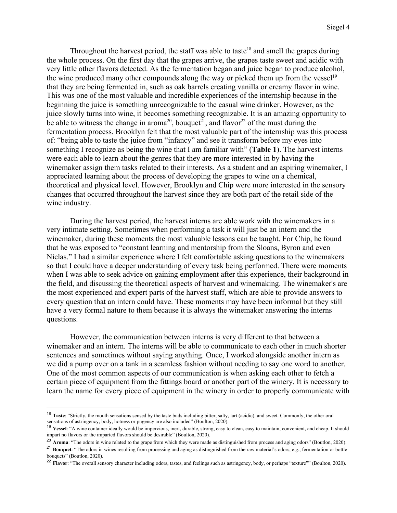Throughout the harvest period, the staff was able to taste<sup>18</sup> and smell the grapes during the whole process. On the first day that the grapes arrive, the grapes taste sweet and acidic with very little other flavors detected. As the fermentation began and juice began to produce alcohol, the wine produced many other compounds along the way or picked them up from the vessel<sup>19</sup> that they are being fermented in, such as oak barrels creating vanilla or creamy flavor in wine. This was one of the most valuable and incredible experiences of the internship because in the beginning the juice is something unrecognizable to the casual wine drinker. However, as the juice slowly turns into wine, it becomes something recognizable. It is an amazing opportunity to be able to witness the change in aroma<sup>20</sup>, bouquet<sup>21</sup>, and flavor<sup>22</sup> of the must during the fermentation process. Brooklyn felt that the most valuable part of the internship was this process of: "being able to taste the juice from "infancy" and see it transform before my eyes into something I recognize as being the wine that I am familiar with" (**Table 1**). The harvest interns were each able to learn about the genres that they are more interested in by having the winemaker assign them tasks related to their interests. As a student and an aspiring winemaker, I appreciated learning about the process of developing the grapes to wine on a chemical, theoretical and physical level. However, Brooklyn and Chip were more interested in the sensory changes that occurred throughout the harvest since they are both part of the retail side of the wine industry.

During the harvest period, the harvest interns are able work with the winemakers in a very intimate setting. Sometimes when performing a task it will just be an intern and the winemaker, during these moments the most valuable lessons can be taught. For Chip, he found that he was exposed to "constant learning and mentorship from the Sloans, Byron and even Niclas." I had a similar experience where I felt comfortable asking questions to the winemakers so that I could have a deeper understanding of every task being performed. There were moments when I was able to seek advice on gaining employment after this experience, their background in the field, and discussing the theoretical aspects of harvest and winemaking. The winemaker's are the most experienced and expert parts of the harvest staff, which are able to provide answers to every question that an intern could have. These moments may have been informal but they still have a very formal nature to them because it is always the winemaker answering the interns questions.

However, the communication between interns is very different to that between a winemaker and an intern. The interns will be able to communicate to each other in much shorter sentences and sometimes without saying anything. Once, I worked alongside another intern as we did a pump over on a tank in a seamless fashion without needing to say one word to another. One of the most common aspects of our communication is when asking each other to fetch a certain piece of equipment from the fittings board or another part of the winery. It is necessary to learn the name for every piece of equipment in the winery in order to properly communicate with

<sup>18</sup> **Taste**: "Strictly, the mouth sensations sensed by the taste buds including bitter, salty, tart (acidic), and sweet. Commonly, the other oral sensations of astringency, body, hotness or pugency are also included" (Boulton, 2020).

<sup>&</sup>lt;sup>19</sup> Vessel: "A wine container ideally would be impervious, inert, durable, strong, easy to clean, easy to maintain, convenient, and cheap. It should impart no flavors or the imparted flavors should be desirable" (Boulton, 2020).

<sup>&</sup>lt;sup>20</sup> Aroma: "The odors in wine related to the grape from which they were made as distinguished from process and aging odors" (Boutlon, 2020).

<sup>21</sup> **Bouquet**: "The odors in wines resulting from processing and aging as distinguished from the raw material's odors, e.g., fermentation or bottle bouquets" (Boutlon, 2020).

<sup>&</sup>lt;sup>22</sup> Flavor: "The overall sensory character including odors, tastes, and feelings such as astringency, body, or perhaps "texture"" (Boulton, 2020).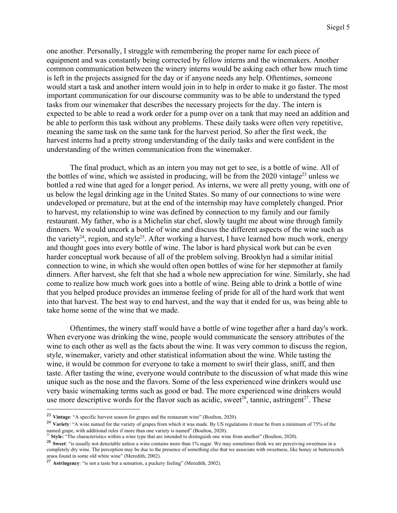one another. Personally, I struggle with remembering the proper name for each piece of equipment and was constantly being corrected by fellow interns and the winemakers. Another common communication between the winery interns would be asking each other how much time is left in the projects assigned for the day or if anyone needs any help. Oftentimes, someone would start a task and another intern would join in to help in order to make it go faster. The most important communication for our discourse community was to be able to understand the typed tasks from our winemaker that describes the necessary projects for the day. The intern is expected to be able to read a work order for a pump over on a tank that may need an addition and be able to perform this task without any problems. These daily tasks were often very repetitive, meaning the same task on the same tank for the harvest period. So after the first week, the harvest interns had a pretty strong understanding of the daily tasks and were confident in the understanding of the written communication from the winemaker.

The final product, which as an intern you may not get to see, is a bottle of wine. All of the bottles of wine, which we assisted in producing, will be from the  $2020$  vintage<sup>23</sup> unless we bottled a red wine that aged for a longer period. As interns, we were all pretty young, with one of us below the legal drinking age in the United States. So many of our connections to wine were undeveloped or premature, but at the end of the internship may have completely changed. Prior to harvest, my relationship to wine was defined by connection to my family and our family restaurant. My father, who is a Michelin star chef, slowly taught me about wine through family dinners. We would uncork a bottle of wine and discuss the different aspects of the wine such as the variety<sup>24</sup>, region, and style<sup>25</sup>. After working a harvest, I have learned how much work, energy and thought goes into every bottle of wine. The labor is hard physical work but can be even harder conceptual work because of all of the problem solving. Brooklyn had a similar initial connection to wine, in which she would often open bottles of wine for her stepmother at family dinners. After harvest, she felt that she had a whole new appreciation for wine. Similarly, she had come to realize how much work goes into a bottle of wine. Being able to drink a bottle of wine that you helped produce provides an immense feeling of pride for all of the hard work that went into that harvest. The best way to end harvest, and the way that it ended for us, was being able to take home some of the wine that we made.

Oftentimes, the winery staff would have a bottle of wine together after a hard day's work. When everyone was drinking the wine, people would communicate the sensory attributes of the wine to each other as well as the facts about the wine. It was very common to discuss the region, style, winemaker, variety and other statistical information about the wine. While tasting the wine, it would be common for everyone to take a moment to swirl their glass, sniff, and then taste. After tasting the wine, everyone would contribute to the discussion of what made this wine unique such as the nose and the flavors. Some of the less experienced wine drinkers would use very basic winemaking terms such as good or bad. The more experienced wine drinkers would use more descriptive words for the flavor such as acidic, sweet<sup>26</sup>, tannic, astringent<sup>27</sup>. These

<sup>23</sup> **Vintage**: "A specific harvest season for grapes and the restaurant wine" (Boulton, 2020).

<sup>&</sup>lt;sup>24</sup> Variety: "A wine named for the variety of grapes from which it was made. By US regulations it must be from a minimum of 75% of the named grape, with additional rules if more than one variety is named" (Boulton, 2020). <sup>25</sup> **Style:** "The characteristics within a wine type that are intended to distinguish one wine from another" (Boulton, 2020).

<sup>&</sup>lt;sup>26</sup> Sweet: "is usually not detectable unless a wine contains more than 1% sugar. We may sometimes think we are perceiving sweetness in a completely dry wine. The perception may be due to the presence of something else that we associate with sweetness, like honey or butterscotch araos found in some old white wine" (Meredith, 2002).

<sup>27</sup> **Astringency**: "is not a taste but a sensation, a puckery feeling" (Meredith, 2002).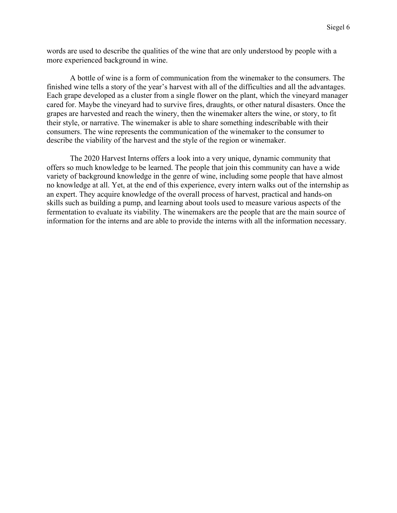words are used to describe the qualities of the wine that are only understood by people with a more experienced background in wine.

A bottle of wine is a form of communication from the winemaker to the consumers. The finished wine tells a story of the year's harvest with all of the difficulties and all the advantages. Each grape developed as a cluster from a single flower on the plant, which the vineyard manager cared for. Maybe the vineyard had to survive fires, draughts, or other natural disasters. Once the grapes are harvested and reach the winery, then the winemaker alters the wine, or story, to fit their style, or narrative. The winemaker is able to share something indescribable with their consumers. The wine represents the communication of the winemaker to the consumer to describe the viability of the harvest and the style of the region or winemaker.

The 2020 Harvest Interns offers a look into a very unique, dynamic community that offers so much knowledge to be learned. The people that join this community can have a wide variety of background knowledge in the genre of wine, including some people that have almost no knowledge at all. Yet, at the end of this experience, every intern walks out of the internship as an expert. They acquire knowledge of the overall process of harvest, practical and hands-on skills such as building a pump, and learning about tools used to measure various aspects of the fermentation to evaluate its viability. The winemakers are the people that are the main source of information for the interns and are able to provide the interns with all the information necessary.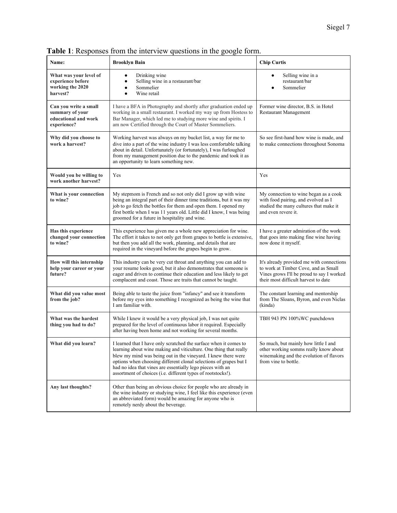| Name:                                                                           | <b>Brooklyn Bain</b>                                                                                                                                                                                                                                                                                                                                                                                       | <b>Chip Curtis</b>                                                                                                                                                     |
|---------------------------------------------------------------------------------|------------------------------------------------------------------------------------------------------------------------------------------------------------------------------------------------------------------------------------------------------------------------------------------------------------------------------------------------------------------------------------------------------------|------------------------------------------------------------------------------------------------------------------------------------------------------------------------|
| What was your level of<br>experience before<br>working the 2020<br>harvest?     | Drinking wine<br>Selling wine in a restaurant/bar<br>Sommelier<br>Wine retail                                                                                                                                                                                                                                                                                                                              | Selling wine in a<br>restaurant/bar<br>Sommelier                                                                                                                       |
| Can you write a small<br>summary of your<br>educational and work<br>experience? | I have a BFA in Photography and shortly after graduation ended up<br>working in a small restaurant. I worked my way up from Hostess to<br>Bar Manager, which led me to studying more wine and spirits. I<br>am now Certified through the Court of Master Sommeliers.                                                                                                                                       | Former wine director, B.S. in Hotel<br><b>Restaurant Management</b>                                                                                                    |
| Why did you choose to<br>work a harvest?                                        | Working harvest was always on my bucket list, a way for me to<br>dive into a part of the wine industry I was less comfortable talking<br>about in detail. Unfortunately (or fortunately), I was furloughed<br>from my management position due to the pandemic and took it as<br>an opportunity to learn something new.                                                                                     | So see first-hand how wine is made, and<br>to make connections throughout Sonoma                                                                                       |
| Would you be willing to<br>work another harvest?                                | Yes                                                                                                                                                                                                                                                                                                                                                                                                        | Yes                                                                                                                                                                    |
| What is your connection<br>to wine?                                             | My stepmom is French and so not only did I grow up with wine<br>being an integral part of their dinner time traditions, but it was my<br>job to go fetch the bottles for them and open them. I opened my<br>first bottle when I was 11 years old. Little did I know, I was being<br>groomed for a future in hospitality and wine.                                                                          | My connection to wine began as a cook<br>with food pairing, and evolved as I<br>studied the many cultures that make it<br>and even revere it.                          |
| Has this experience<br>changed your connection<br>to wine?                      | This experience has given me a whole new appreciation for wine.<br>The effort it takes to not only get from grapes to bottle is extensive,<br>but then you add all the work, planning, and details that are<br>required in the vineyard before the grapes begin to grow.                                                                                                                                   | I have a greater admiration of the work<br>that goes into making fine wine having<br>now done it myself.                                                               |
| How will this internship<br>help your career or your<br>future?                 | This industry can be very cut throat and anything you can add to<br>your resume looks good, but it also demonstrates that someone is<br>eager and driven to continue their education and less likely to get<br>complacent and coast. Those are traits that cannot be taught.                                                                                                                               | It's already provided me with connections<br>to work at Timber Cove, and as Small<br>Vines grows I'll be proud to say I worked<br>their most difficult harvest to date |
| What did you value most<br>from the job?                                        | Being able to taste the juice from "infancy" and see it transform<br>before my eyes into something I recognized as being the wine that<br>I am familiar with.                                                                                                                                                                                                                                              | The constant learning and mentorship<br>from The Sloans, Byron, and even Niclas<br>(kinda)                                                                             |
| What was the hardest<br>thing you had to do?                                    | While I knew it would be a very physical job, I was not quite<br>prepared for the level of continuous labor it required. Especially<br>after having been home and not working for several months.                                                                                                                                                                                                          | TBH 943 PN 100%WC punchdown                                                                                                                                            |
| What did you learn?                                                             | I learned that I have only scratched the surface when it comes to<br>learning about wine making and viticulture. One thing that really<br>blew my mind was being out in the vineyard. I knew there were<br>options when choosing different clonal selections of grapes but I<br>had no idea that vines are essentially lego pieces with an<br>assortment of choices (i.e. different types of rootstocks!). | So much, but mainly how little I and<br>other working somms really know about<br>winemaking and the evolution of flavors<br>from vine to bottle.                       |
| Any last thoughts?                                                              | Other than being an obvious choice for people who are already in<br>the wine industry or studying wine. I feel like this experience (even<br>an abbreviated form) would be amazing for anyone who is<br>remotely nerdy about the beverage.                                                                                                                                                                 |                                                                                                                                                                        |

**Table 1**: Responses from the interview questions in the google form.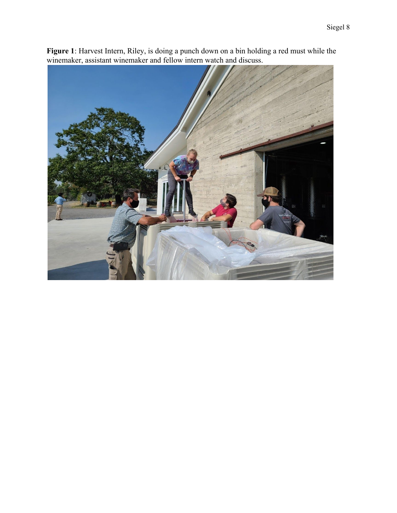

**Figure 1**: Harvest Intern, Riley, is doing a punch down on a bin holding a red must while the winemaker, assistant winemaker and fellow intern watch and discuss.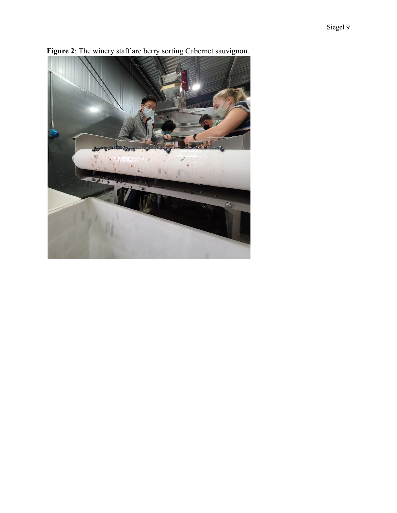

**Figure 2**: The winery staff are berry sorting Cabernet sauvignon.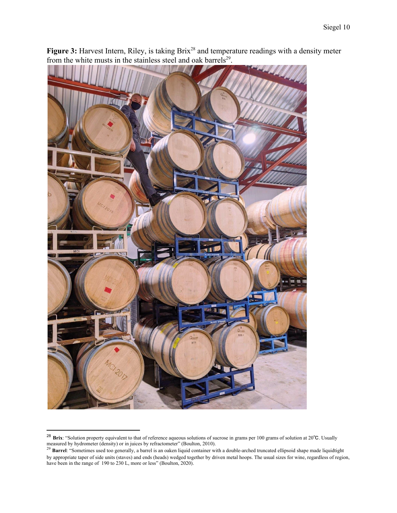

Figure 3: Harvest Intern, Riley, is taking Brix<sup>28</sup> and temperature readings with a density meter from the white musts in the stainless steel and oak barrels<sup>29</sup>.

<sup>28</sup> **Brix**: "Solution property equivalent to that of reference aqueous solutions of sucrose in grams per 100 grams of solution at 20℃. Usually measured by hydrometer (density) or in juices by refractometer" (Boulton, 2010).

<sup>&</sup>lt;sup>29</sup> Barrel: "Sometimes used too generally, a barrel is an oaken liquid container with a double-arched truncated ellipsoid shape made liquidtight by appropriate taper of side units (staves) and ends (heads) wedged together by driven metal hoops. The usual sizes for wine, regardless of region, have been in the range of 190 to 230 L, more or less" (Boulton, 2020).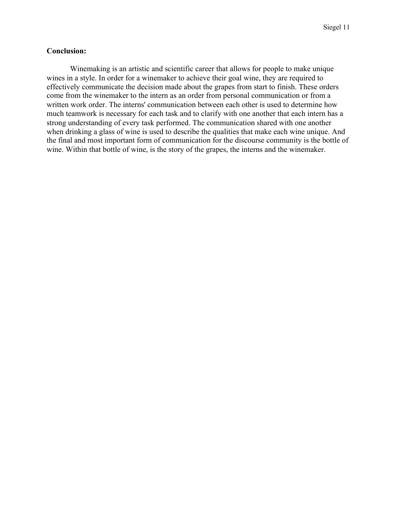## **Conclusion:**

Winemaking is an artistic and scientific career that allows for people to make unique wines in a style. In order for a winemaker to achieve their goal wine, they are required to effectively communicate the decision made about the grapes from start to finish. These orders come from the winemaker to the intern as an order from personal communication or from a written work order. The interns' communication between each other is used to determine how much teamwork is necessary for each task and to clarify with one another that each intern has a strong understanding of every task performed. The communication shared with one another when drinking a glass of wine is used to describe the qualities that make each wine unique. And the final and most important form of communication for the discourse community is the bottle of wine. Within that bottle of wine, is the story of the grapes, the interns and the winemaker.